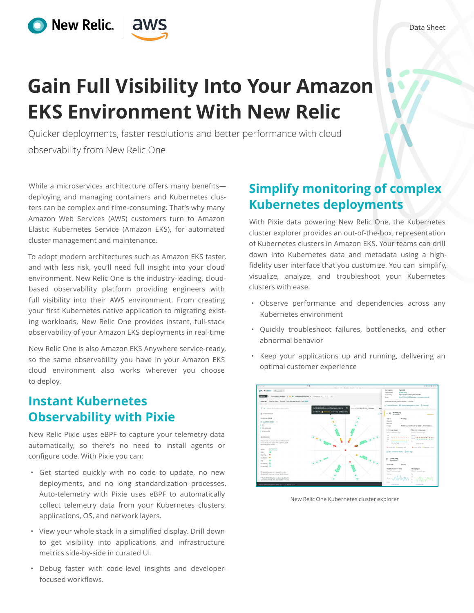# **Gain Full Visibility Into Your Amazon EKS Environment With New Relic**

Quicker deployments, faster resolutions and better performance with cloud observability from New Relic One

While a microservices architecture offers many benefits deploying and managing containers and Kubernetes clusters can be complex and time-consuming. That's why many Amazon Web Services (AWS) customers turn to Amazon Elastic Kubernetes Service (Amazon EKS), for automated cluster management and maintenance.

aws

O New Relic.

To adopt modern architectures such as Amazon EKS faster, and with less risk, you'll need full insight into your cloud environment. New Relic One is the industry-leading, cloudbased observability platform providing engineers with full visibility into their AWS environment. From creating your first Kubernetes native application to migrating existing workloads, New Relic One provides instant, full-stack observability of your Amazon EKS deployments in real-time

New Relic One is also Amazon EKS Anywhere service-ready, so the same observability you have in your Amazon EKS cloud environment also works wherever you choose to deploy.

### **Instant Kubernetes Observability with Pixie**

New Relic Pixie uses eBPF to capture your telemetry data automatically, so there's no need to install agents or configure code. With Pixie you can:

- Get started quickly with no code to update, no new deployments, and no long standardization processes. Auto-telemetry with Pixie uses eBPF to automatically collect telemetry data from your Kubernetes clusters, applications, OS, and network layers.
- View your whole stack in a simplified display. Drill down to get visibility into applications and infrastructure metrics side-by-side in curated UI.
- Debug faster with code-level insights and developerfocused workflows.

## **Simplify monitoring of complex Kubernetes deployments**

With Pixie data powering New Relic One, the Kubernetes cluster explorer provides an out-of-the-box, representation of Kubernetes clusters in Amazon EKS. Your teams can drill down into Kubernetes data and metadata using a highfidelity user interface that you customize. You can simplify, visualize, analyze, and troubleshoot your Kubernetes clusters with ease.

- Observe performance and dependencies across any Kubernetes environment
- Quickly troubleshoot failures, bottlenecks, and other abnormal behavior
- Keep your applications up and running, delivering an optimal customer experience



New Relic One Kubernetes cluster explorer